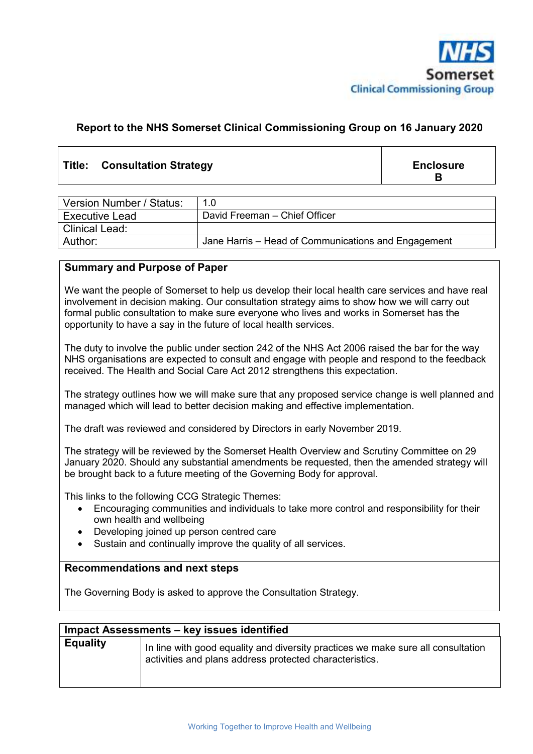

# **Report to the NHS Somerset Clinical Commissioning Group on 16 January 2020**

# Title: Consultation Strategy **Enclosure Enclosure**

**B**

| Version Number / Status: | 1.0                                                 |
|--------------------------|-----------------------------------------------------|
| <b>Executive Lead</b>    | David Freeman - Chief Officer                       |
| <b>Clinical Lead:</b>    |                                                     |
| Author:                  | Jane Harris – Head of Communications and Engagement |

#### **Summary and Purpose of Paper**

We want the people of Somerset to help us develop their local health care services and have real involvement in decision making. Our consultation strategy aims to show how we will carry out formal public consultation to make sure everyone who lives and works in Somerset has the opportunity to have a say in the future of local health services.

The duty to involve the public under section 242 of the NHS Act 2006 raised the bar for the way NHS organisations are expected to consult and engage with people and respond to the feedback received. The Health and Social Care Act 2012 strengthens this expectation.

The strategy outlines how we will make sure that any proposed service change is well planned and managed which will lead to better decision making and effective implementation.

The draft was reviewed and considered by Directors in early November 2019.

The strategy will be reviewed by the Somerset Health Overview and Scrutiny Committee on 29 January 2020. Should any substantial amendments be requested, then the amended strategy will be brought back to a future meeting of the Governing Body for approval.

This links to the following CCG Strategic Themes:

- Encouraging communities and individuals to take more control and responsibility for their own health and wellbeing
- Developing joined up person centred care
- Sustain and continually improve the quality of all services.

#### **Recommendations and next steps**

The Governing Body is asked to approve the Consultation Strategy.

| Impact Assessments - key issues identified |                                                                                                                                             |  |  |  |
|--------------------------------------------|---------------------------------------------------------------------------------------------------------------------------------------------|--|--|--|
| <b>Equality</b>                            | In line with good equality and diversity practices we make sure all consultation<br>activities and plans address protected characteristics. |  |  |  |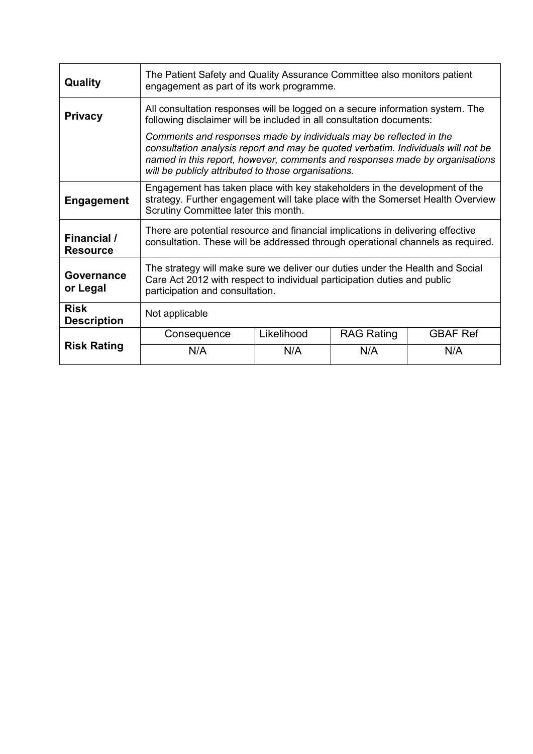| Quality                               | The Patient Safety and Quality Assurance Committee also monitors patient<br>engagement as part of its work programme.                                                                                                                                                                        |            |                   |                 |  |  |
|---------------------------------------|----------------------------------------------------------------------------------------------------------------------------------------------------------------------------------------------------------------------------------------------------------------------------------------------|------------|-------------------|-----------------|--|--|
| <b>Privacy</b>                        | All consultation responses will be logged on a secure information system. The<br>following disclaimer will be included in all consultation documents:                                                                                                                                        |            |                   |                 |  |  |
|                                       | Comments and responses made by individuals may be reflected in the<br>consultation analysis report and may be quoted verbatim. Individuals will not be<br>named in this report, however, comments and responses made by organisations<br>will be publicly attributed to those organisations. |            |                   |                 |  |  |
| <b>Engagement</b>                     | Engagement has taken place with key stakeholders in the development of the<br>strategy. Further engagement will take place with the Somerset Health Overview<br>Scrutiny Committee later this month.                                                                                         |            |                   |                 |  |  |
| <b>Financial</b> /<br><b>Resource</b> | There are potential resource and financial implications in delivering effective<br>consultation. These will be addressed through operational channels as required.                                                                                                                           |            |                   |                 |  |  |
| Governance<br>or Legal                | The strategy will make sure we deliver our duties under the Health and Social<br>Care Act 2012 with respect to individual participation duties and public<br>participation and consultation.                                                                                                 |            |                   |                 |  |  |
| <b>Risk</b><br><b>Description</b>     | Not applicable                                                                                                                                                                                                                                                                               |            |                   |                 |  |  |
|                                       | Consequence                                                                                                                                                                                                                                                                                  | Likelihood | <b>RAG Rating</b> | <b>GBAF Ref</b> |  |  |
| <b>Risk Rating</b>                    | N/A                                                                                                                                                                                                                                                                                          | N/A        | N/A               | N/A             |  |  |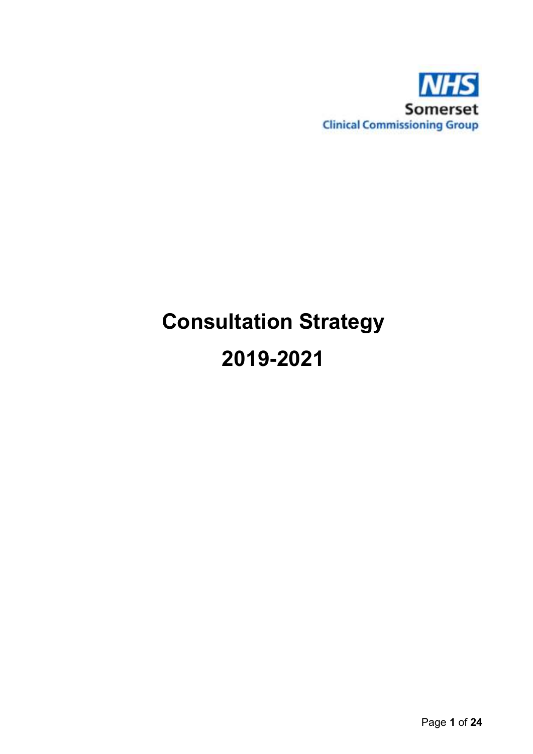

# **Consultation Strategy 2019-2021**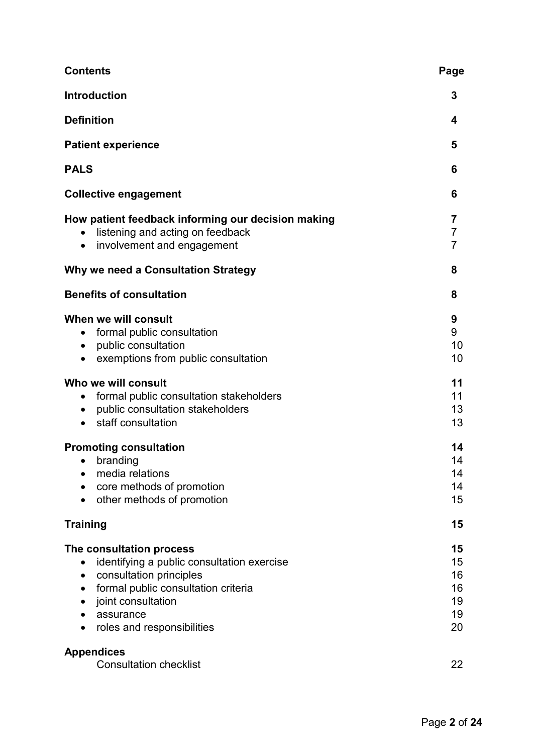| <b>Contents</b>                                                                                                                                                                                           | Page                                   |
|-----------------------------------------------------------------------------------------------------------------------------------------------------------------------------------------------------------|----------------------------------------|
| <b>Introduction</b>                                                                                                                                                                                       | 3                                      |
| <b>Definition</b>                                                                                                                                                                                         | 4                                      |
| <b>Patient experience</b>                                                                                                                                                                                 | 5                                      |
| <b>PALS</b>                                                                                                                                                                                               | 6                                      |
| <b>Collective engagement</b>                                                                                                                                                                              | 6                                      |
| How patient feedback informing our decision making<br>listening and acting on feedback<br>involvement and engagement<br>$\bullet$                                                                         | 7<br>7<br>7                            |
| Why we need a Consultation Strategy                                                                                                                                                                       | 8                                      |
| <b>Benefits of consultation</b>                                                                                                                                                                           | 8                                      |
| When we will consult<br>formal public consultation<br>public consultation<br>$\bullet$<br>exemptions from public consultation                                                                             | 9<br>9<br>10<br>10                     |
| Who we will consult<br>formal public consultation stakeholders<br>public consultation stakeholders<br>staff consultation<br>$\bullet$                                                                     | 11<br>11<br>13<br>13                   |
| <b>Promoting consultation</b><br>branding<br>٠<br>media relations<br>core methods of promotion<br>other methods of promotion                                                                              | 14<br>14<br>14<br>14<br>15             |
| <b>Training</b>                                                                                                                                                                                           | 15                                     |
| The consultation process<br>identifying a public consultation exercise<br>consultation principles<br>formal public consultation criteria<br>joint consultation<br>assurance<br>roles and responsibilities | 15<br>15<br>16<br>16<br>19<br>19<br>20 |
| <b>Appendices</b><br><b>Consultation checklist</b>                                                                                                                                                        | 22                                     |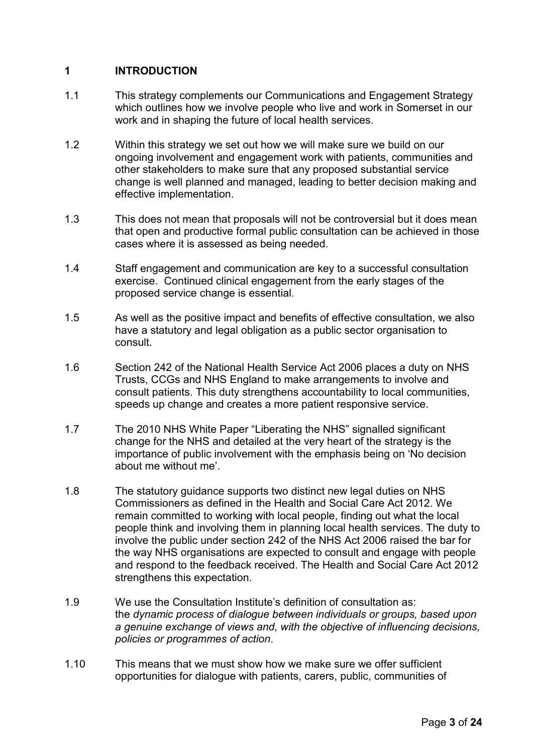# **1 INTRODUCTION**

- 1.1 This strategy complements our Communications and Engagement Strategy which outlines how we involve people who live and work in Somerset in our work and in shaping the future of local health services.
- 1.2 Within this strategy we set out how we will make sure we build on our ongoing involvement and engagement work with patients, communities and other stakeholders to make sure that any proposed substantial service change is well planned and managed, leading to better decision making and effective implementation.
- 1.3 This does not mean that proposals will not be controversial but it does mean that open and productive formal public consultation can be achieved in those cases where it is assessed as being needed.
- 1.4 Staff engagement and communication are key to a successful consultation exercise. Continued clinical engagement from the early stages of the proposed service change is essential.
- 1.5 As well as the positive impact and benefits of effective consultation, we also have a statutory and legal obligation as a public sector organisation to consult.
- 1.6 Section 242 of the National Health Service Act 2006 places a duty on NHS Trusts, CCGs and NHS England to make arrangements to involve and consult patients. This duty strengthens accountability to local communities, speeds up change and creates a more patient responsive service.
- 1.7 The 2010 NHS White Paper "Liberating the NHS" signalled significant change for the NHS and detailed at the very heart of the strategy is the importance of public involvement with the emphasis being on 'No decision about me without me'.
- 1.8 The statutory guidance supports two distinct new legal duties on NHS Commissioners as defined in the Health and Social Care Act 2012. We remain committed to working with local people, finding out what the local people think and involving them in planning local health services. The duty to involve the public under section 242 of the NHS Act 2006 raised the bar for the way NHS organisations are expected to consult and engage with people and respond to the feedback received. The Health and Social Care Act 2012 strengthens this expectation.
- 1.9 We use the Consultation Institute's definition of consultation as: the *dynamic process of dialogue between individuals or groups, based upon a genuine exchange of views and, with the objective of influencing decisions, policies or programmes of action*.
- 1.10 This means that we must show how we make sure we offer sufficient opportunities for dialogue with patients, carers, public, communities of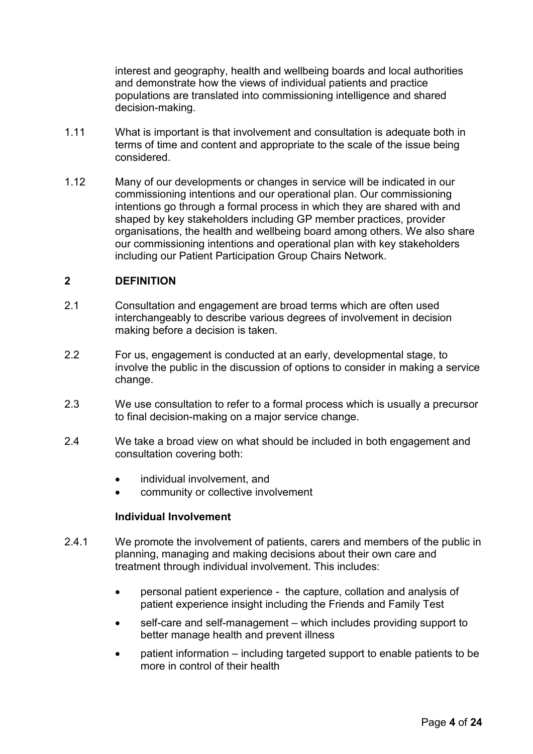interest and geography, health and wellbeing boards and local authorities and demonstrate how the views of individual patients and practice populations are translated into commissioning intelligence and shared decision-making.

- 1.11 What is important is that involvement and consultation is adequate both in terms of time and content and appropriate to the scale of the issue being considered.
- 1.12 Many of our developments or changes in service will be indicated in our commissioning intentions and our operational plan. Our commissioning intentions go through a formal process in which they are shared with and shaped by key stakeholders including GP member practices, provider organisations, the health and wellbeing board among others. We also share our commissioning intentions and operational plan with key stakeholders including our Patient Participation Group Chairs Network.

## **2 DEFINITION**

- 2.1 Consultation and engagement are broad terms which are often used interchangeably to describe various degrees of involvement in decision making before a decision is taken.
- 2.2 For us, engagement is conducted at an early, developmental stage, to involve the public in the discussion of options to consider in making a service change.
- 2.3 We use consultation to refer to a formal process which is usually a precursor to final decision-making on a major service change.
- 2.4 We take a broad view on what should be included in both engagement and consultation covering both:
	- individual involvement, and
	- community or collective involvement

## **Individual Involvement**

- 2.4.1 We promote the involvement of patients, carers and members of the public in planning, managing and making decisions about their own care and treatment through individual involvement. This includes:
	- personal patient experience the capture, collation and analysis of patient experience insight including the Friends and Family Test
	- self-care and self-management which includes providing support to better manage health and prevent illness
	- patient information including targeted support to enable patients to be more in control of their health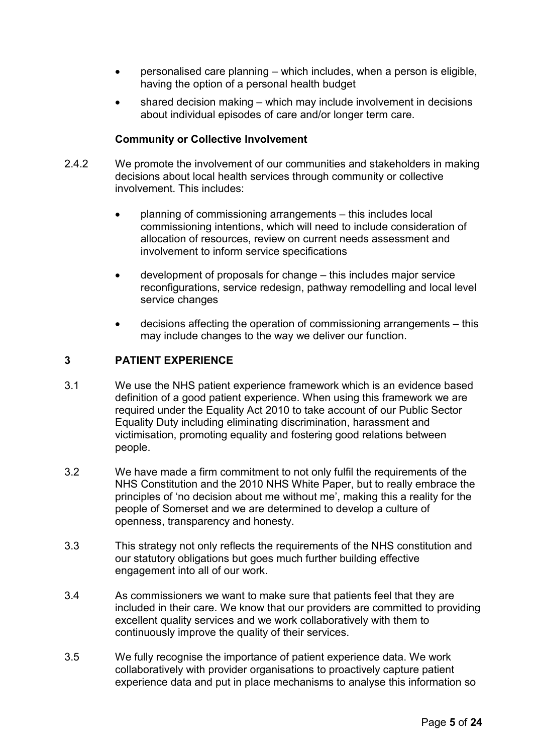- personalised care planning which includes, when a person is eligible, having the option of a personal health budget
- shared decision making which may include involvement in decisions about individual episodes of care and/or longer term care.

# **Community or Collective Involvement**

- 2.4.2 We promote the involvement of our communities and stakeholders in making decisions about local health services through community or collective involvement. This includes:
	- planning of commissioning arrangements this includes local commissioning intentions, which will need to include consideration of allocation of resources, review on current needs assessment and involvement to inform service specifications
	- development of proposals for change this includes major service reconfigurations, service redesign, pathway remodelling and local level service changes
	- decisions affecting the operation of commissioning arrangements this may include changes to the way we deliver our function.

## **3 PATIENT EXPERIENCE**

- 3.1 We use the NHS patient experience framework which is an evidence based definition of a good patient experience. When using this framework we are required under the Equality Act 2010 to take account of our Public Sector Equality Duty including eliminating discrimination, harassment and victimisation, promoting equality and fostering good relations between people.
- 3.2 We have made a firm commitment to not only fulfil the requirements of the NHS Constitution and the 2010 NHS White Paper, but to really embrace the principles of 'no decision about me without me', making this a reality for the people of Somerset and we are determined to develop a culture of openness, transparency and honesty.
- 3.3 This strategy not only reflects the requirements of the NHS constitution and our statutory obligations but goes much further building effective engagement into all of our work.
- 3.4 As commissioners we want to make sure that patients feel that they are included in their care. We know that our providers are committed to providing excellent quality services and we work collaboratively with them to continuously improve the quality of their services.
- 3.5 We fully recognise the importance of patient experience data. We work collaboratively with provider organisations to proactively capture patient experience data and put in place mechanisms to analyse this information so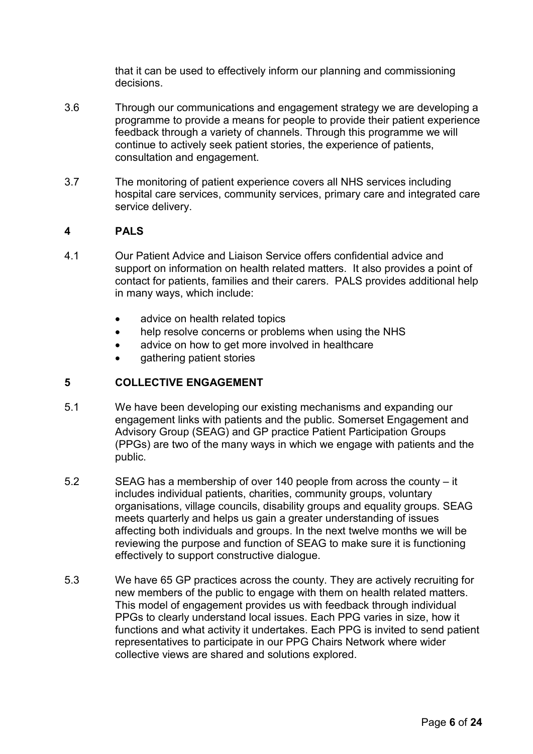that it can be used to effectively inform our planning and commissioning decisions.

- 3.6 Through our communications and engagement strategy we are developing a programme to provide a means for people to provide their patient experience feedback through a variety of channels. Through this programme we will continue to actively seek patient stories, the experience of patients, consultation and engagement.
- 3.7 The monitoring of patient experience covers all NHS services including hospital care services, community services, primary care and integrated care service delivery.

## **4 PALS**

- 4.1 Our Patient Advice and Liaison Service offers confidential advice and support on information on health related matters. It also provides a point of contact for patients, families and their carers. PALS provides additional help in many ways, which include:
	- advice on health related topics
	- help resolve concerns or problems when using the NHS
	- advice on how to get more involved in healthcare
	- gathering patient stories

## **5 COLLECTIVE ENGAGEMENT**

- 5.1 We have been developing our existing mechanisms and expanding our engagement links with patients and the public. Somerset Engagement and Advisory Group (SEAG) and GP practice Patient Participation Groups (PPGs) are two of the many ways in which we engage with patients and the public.
- 5.2 SEAG has a membership of over 140 people from across the county it includes individual patients, charities, community groups, voluntary organisations, village councils, disability groups and equality groups. SEAG meets quarterly and helps us gain a greater understanding of issues affecting both individuals and groups. In the next twelve months we will be reviewing the purpose and function of SEAG to make sure it is functioning effectively to support constructive dialogue.
- 5.3 We have 65 GP practices across the county. They are actively recruiting for new members of the public to engage with them on health related matters. This model of engagement provides us with feedback through individual PPGs to clearly understand local issues. Each PPG varies in size, how it functions and what activity it undertakes. Each PPG is invited to send patient representatives to participate in our PPG Chairs Network where wider collective views are shared and solutions explored.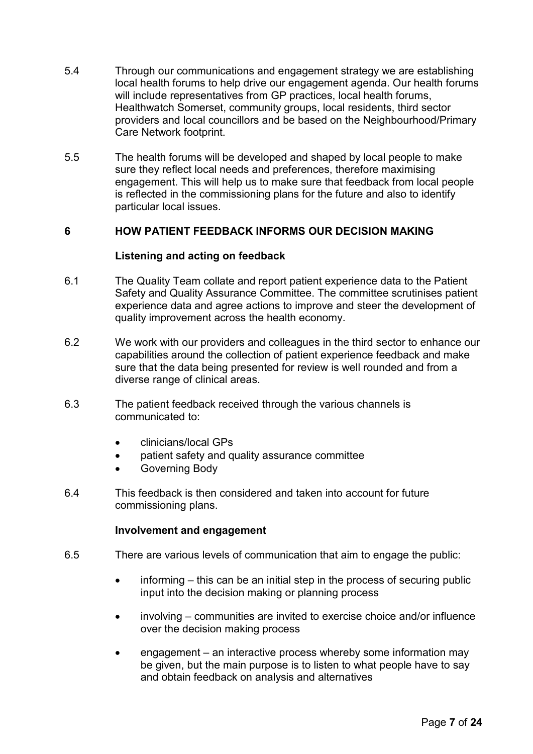- 5.4 Through our communications and engagement strategy we are establishing local health forums to help drive our engagement agenda. Our health forums will include representatives from GP practices, local health forums, Healthwatch Somerset, community groups, local residents, third sector providers and local councillors and be based on the Neighbourhood/Primary Care Network footprint.
- 5.5 The health forums will be developed and shaped by local people to make sure they reflect local needs and preferences, therefore maximising engagement. This will help us to make sure that feedback from local people is reflected in the commissioning plans for the future and also to identify particular local issues.

# **6 HOW PATIENT FEEDBACK INFORMS OUR DECISION MAKING**

## **Listening and acting on feedback**

- 6.1 The Quality Team collate and report patient experience data to the Patient Safety and Quality Assurance Committee. The committee scrutinises patient experience data and agree actions to improve and steer the development of quality improvement across the health economy.
- 6.2 We work with our providers and colleagues in the third sector to enhance our capabilities around the collection of patient experience feedback and make sure that the data being presented for review is well rounded and from a diverse range of clinical areas.
- 6.3 The patient feedback received through the various channels is communicated to:
	- clinicians/local GPs
	- patient safety and quality assurance committee
	- Governing Body
- 6.4 This feedback is then considered and taken into account for future commissioning plans.

## **Involvement and engagement**

- 6.5 There are various levels of communication that aim to engage the public:
	- informing this can be an initial step in the process of securing public input into the decision making or planning process
	- involving communities are invited to exercise choice and/or influence over the decision making process
	- engagement an interactive process whereby some information may be given, but the main purpose is to listen to what people have to say and obtain feedback on analysis and alternatives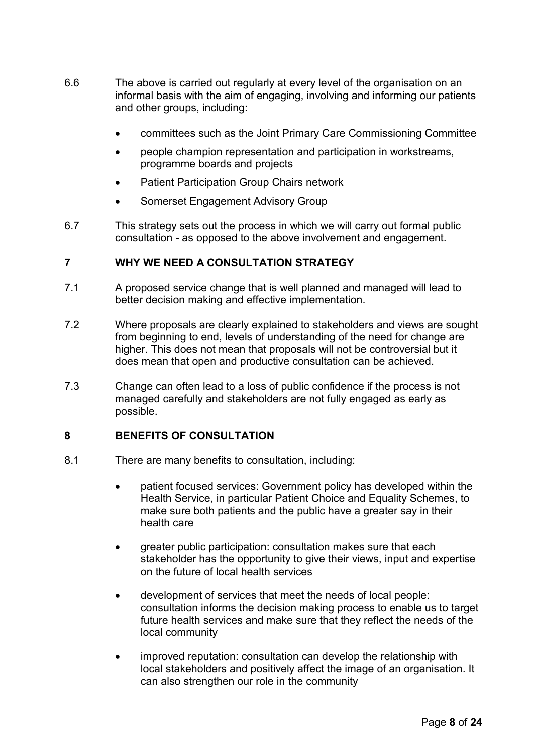- 6.6 The above is carried out regularly at every level of the organisation on an informal basis with the aim of engaging, involving and informing our patients and other groups, including:
	- committees such as the Joint Primary Care Commissioning Committee
	- people champion representation and participation in workstreams, programme boards and projects
	- Patient Participation Group Chairs network
	- Somerset Engagement Advisory Group
- 6.7 This strategy sets out the process in which we will carry out formal public consultation - as opposed to the above involvement and engagement.

## **7 WHY WE NEED A CONSULTATION STRATEGY**

- 7.1 A proposed service change that is well planned and managed will lead to better decision making and effective implementation.
- 7.2 Where proposals are clearly explained to stakeholders and views are sought from beginning to end, levels of understanding of the need for change are higher. This does not mean that proposals will not be controversial but it does mean that open and productive consultation can be achieved.
- 7.3 Change can often lead to a loss of public confidence if the process is not managed carefully and stakeholders are not fully engaged as early as possible.

## **8 BENEFITS OF CONSULTATION**

- 8.1 There are many benefits to consultation, including:
	- patient focused services: Government policy has developed within the Health Service, in particular Patient Choice and Equality Schemes, to make sure both patients and the public have a greater say in their health care
	- greater public participation: consultation makes sure that each stakeholder has the opportunity to give their views, input and expertise on the future of local health services
	- development of services that meet the needs of local people: consultation informs the decision making process to enable us to target future health services and make sure that they reflect the needs of the local community
	- improved reputation: consultation can develop the relationship with local stakeholders and positively affect the image of an organisation. It can also strengthen our role in the community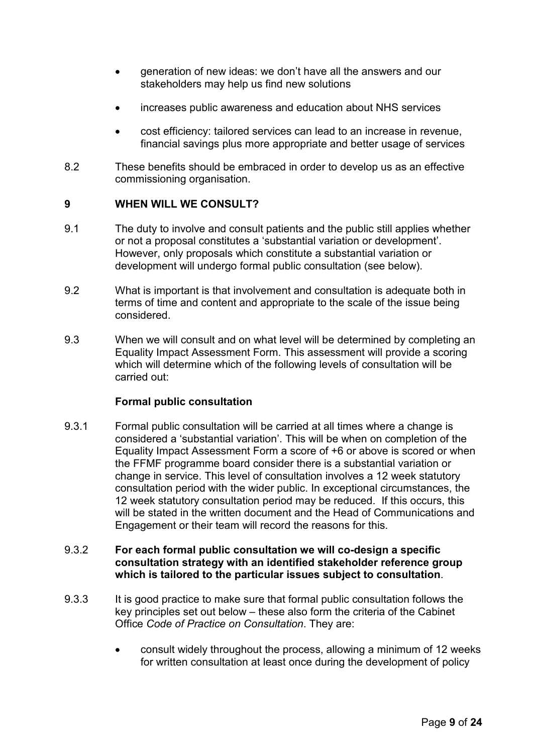- generation of new ideas: we don't have all the answers and our stakeholders may help us find new solutions
- increases public awareness and education about NHS services
- cost efficiency: tailored services can lead to an increase in revenue, financial savings plus more appropriate and better usage of services
- 8.2 These benefits should be embraced in order to develop us as an effective commissioning organisation.

## **9 WHEN WILL WE CONSULT?**

- 9.1 The duty to involve and consult patients and the public still applies whether or not a proposal constitutes a 'substantial variation or development'. However, only proposals which constitute a substantial variation or development will undergo formal public consultation (see below).
- 9.2 What is important is that involvement and consultation is adequate both in terms of time and content and appropriate to the scale of the issue being considered.
- 9.3 When we will consult and on what level will be determined by completing an Equality Impact Assessment Form. This assessment will provide a scoring which will determine which of the following levels of consultation will be carried out:

#### **Formal public consultation**

9.3.1 Formal public consultation will be carried at all times where a change is considered a 'substantial variation'. This will be when on completion of the Equality Impact Assessment Form a score of +6 or above is scored or when the FFMF programme board consider there is a substantial variation or change in service. This level of consultation involves a 12 week statutory consultation period with the wider public. In exceptional circumstances, the 12 week statutory consultation period may be reduced. If this occurs, this will be stated in the written document and the Head of Communications and Engagement or their team will record the reasons for this.

## 9.3.2 **For each formal public consultation we will co-design a specific consultation strategy with an identified stakeholder reference group which is tailored to the particular issues subject to consultation**.

- 9.3.3 It is good practice to make sure that formal public consultation follows the key principles set out below – these also form the criteria of the Cabinet Office *Code of Practice on Consultation*. They are:
	- consult widely throughout the process, allowing a minimum of 12 weeks for written consultation at least once during the development of policy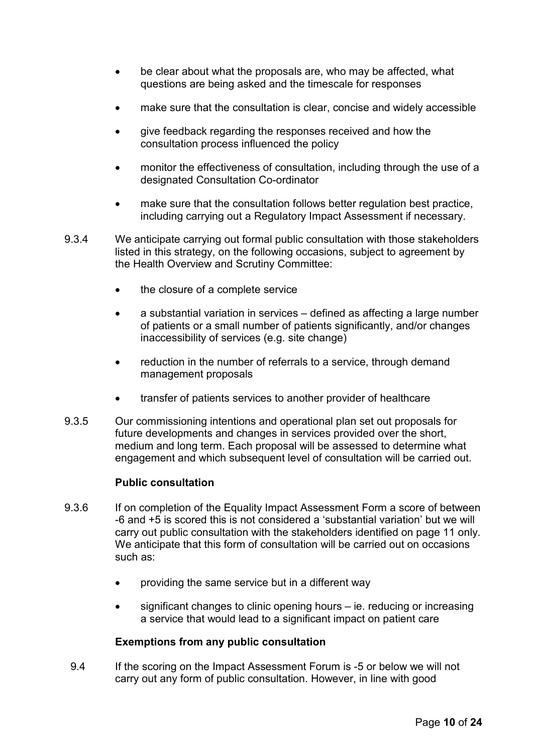- be clear about what the proposals are, who may be affected, what questions are being asked and the timescale for responses
- make sure that the consultation is clear, concise and widely accessible
- give feedback regarding the responses received and how the consultation process influenced the policy
- monitor the effectiveness of consultation, including through the use of a designated Consultation Co-ordinator
- make sure that the consultation follows better regulation best practice, including carrying out a Regulatory Impact Assessment if necessary.
- 9.3.4 We anticipate carrying out formal public consultation with those stakeholders listed in this strategy, on the following occasions, subject to agreement by the Health Overview and Scrutiny Committee:
	- the closure of a complete service
	- a substantial variation in services defined as affecting a large number of patients or a small number of patients significantly, and/or changes inaccessibility of services (e.g. site change)
	- reduction in the number of referrals to a service, through demand management proposals
	- transfer of patients services to another provider of healthcare
- 9.3.5 Our commissioning intentions and operational plan set out proposals for future developments and changes in services provided over the short, medium and long term. Each proposal will be assessed to determine what engagement and which subsequent level of consultation will be carried out.

## **Public consultation**

- 9.3.6 If on completion of the Equality Impact Assessment Form a score of between -6 and +5 is scored this is not considered a 'substantial variation' but we will carry out public consultation with the stakeholders identified on page 11 only. We anticipate that this form of consultation will be carried out on occasions such as:
	- providing the same service but in a different way
	- significant changes to clinic opening hours ie. reducing or increasing a service that would lead to a significant impact on patient care

#### **Exemptions from any public consultation**

 9.4 If the scoring on the Impact Assessment Forum is -5 or below we will not carry out any form of public consultation. However, in line with good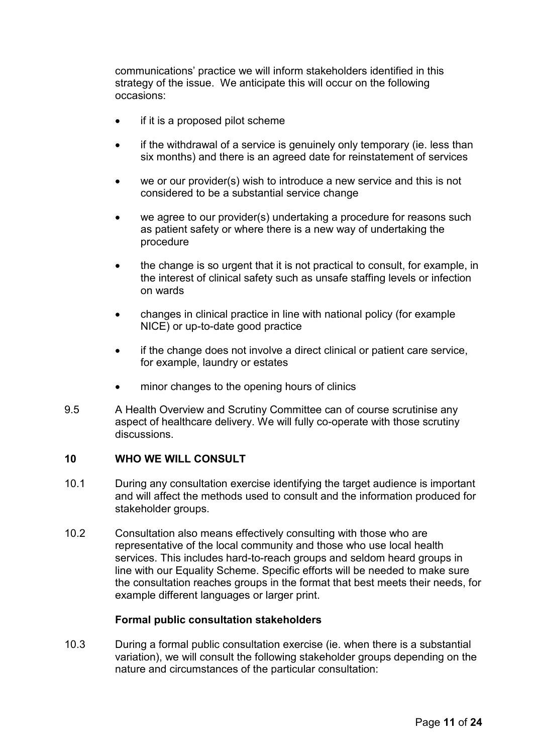communications' practice we will inform stakeholders identified in this strategy of the issue. We anticipate this will occur on the following occasions:

- if it is a proposed pilot scheme
- if the withdrawal of a service is genuinely only temporary (ie. less than six months) and there is an agreed date for reinstatement of services
- we or our provider(s) wish to introduce a new service and this is not considered to be a substantial service change
- we agree to our provider(s) undertaking a procedure for reasons such as patient safety or where there is a new way of undertaking the procedure
- the change is so urgent that it is not practical to consult, for example, in the interest of clinical safety such as unsafe staffing levels or infection on wards
- changes in clinical practice in line with national policy (for example NICE) or up-to-date good practice
- if the change does not involve a direct clinical or patient care service, for example, laundry or estates
- minor changes to the opening hours of clinics
- 9.5 A Health Overview and Scrutiny Committee can of course scrutinise any aspect of healthcare delivery. We will fully co-operate with those scrutiny discussions.

## **10 WHO WE WILL CONSULT**

- 10.1 During any consultation exercise identifying the target audience is important and will affect the methods used to consult and the information produced for stakeholder groups.
- 10.2 Consultation also means effectively consulting with those who are representative of the local community and those who use local health services. This includes hard-to-reach groups and seldom heard groups in line with our Equality Scheme. Specific efforts will be needed to make sure the consultation reaches groups in the format that best meets their needs, for example different languages or larger print.

#### **Formal public consultation stakeholders**

10.3 During a formal public consultation exercise (ie. when there is a substantial variation), we will consult the following stakeholder groups depending on the nature and circumstances of the particular consultation: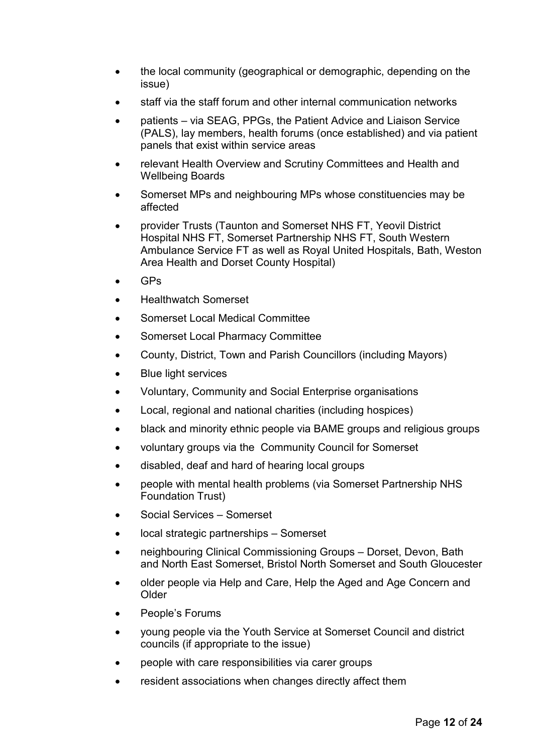- the local community (geographical or demographic, depending on the issue)
- staff via the staff forum and other internal communication networks
- patients via SEAG, PPGs, the Patient Advice and Liaison Service (PALS), lay members, health forums (once established) and via patient panels that exist within service areas
- relevant Health Overview and Scrutiny Committees and Health and Wellbeing Boards
- Somerset MPs and neighbouring MPs whose constituencies may be affected
- provider Trusts (Taunton and Somerset NHS FT, Yeovil District Hospital NHS FT, Somerset Partnership NHS FT, South Western Ambulance Service FT as well as Royal United Hospitals, Bath, Weston Area Health and Dorset County Hospital)
- GPs
- Healthwatch Somerset
- Somerset Local Medical Committee
- Somerset Local Pharmacy Committee
- County, District, Town and Parish Councillors (including Mayors)
- Blue light services
- Voluntary, Community and Social Enterprise organisations
- Local, regional and national charities (including hospices)
- black and minority ethnic people via BAME groups and religious groups
- voluntary groups via the Community Council for Somerset
- disabled, deaf and hard of hearing local groups
- people with mental health problems (via Somerset Partnership NHS Foundation Trust)
- Social Services Somerset
- local strategic partnerships Somerset
- neighbouring Clinical Commissioning Groups Dorset, Devon, Bath and North East Somerset, Bristol North Somerset and South Gloucester
- older people via Help and Care, Help the Aged and Age Concern and Older
- People's Forums
- young people via the Youth Service at Somerset Council and district councils (if appropriate to the issue)
- people with care responsibilities via carer groups
- resident associations when changes directly affect them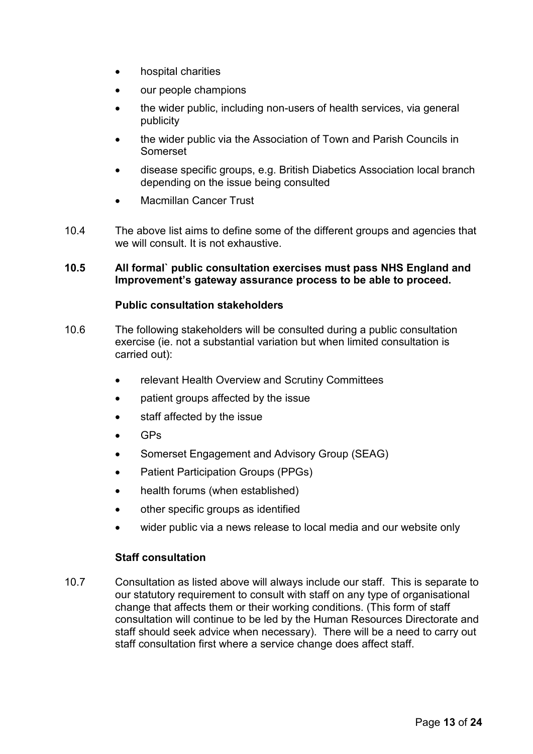- hospital charities
- our people champions
- the wider public, including non-users of health services, via general publicity
- the wider public via the Association of Town and Parish Councils in Somerset
- disease specific groups, e.g. British Diabetics Association local branch depending on the issue being consulted
- Macmillan Cancer Trust
- 10.4 The above list aims to define some of the different groups and agencies that we will consult. It is not exhaustive.

#### **10.5 All formal` public consultation exercises must pass NHS England and Improvement's gateway assurance process to be able to proceed.**

## **Public consultation stakeholders**

- 10.6 The following stakeholders will be consulted during a public consultation exercise (ie. not a substantial variation but when limited consultation is carried out):
	- relevant Health Overview and Scrutiny Committees
	- patient groups affected by the issue
	- staff affected by the issue
	- GPs
	- Somerset Engagement and Advisory Group (SEAG)
	- Patient Participation Groups (PPGs)
	- health forums (when established)
	- other specific groups as identified
	- wider public via a news release to local media and our website only

## **Staff consultation**

10.7 Consultation as listed above will always include our staff. This is separate to our statutory requirement to consult with staff on any type of organisational change that affects them or their working conditions. (This form of staff consultation will continue to be led by the Human Resources Directorate and staff should seek advice when necessary). There will be a need to carry out staff consultation first where a service change does affect staff.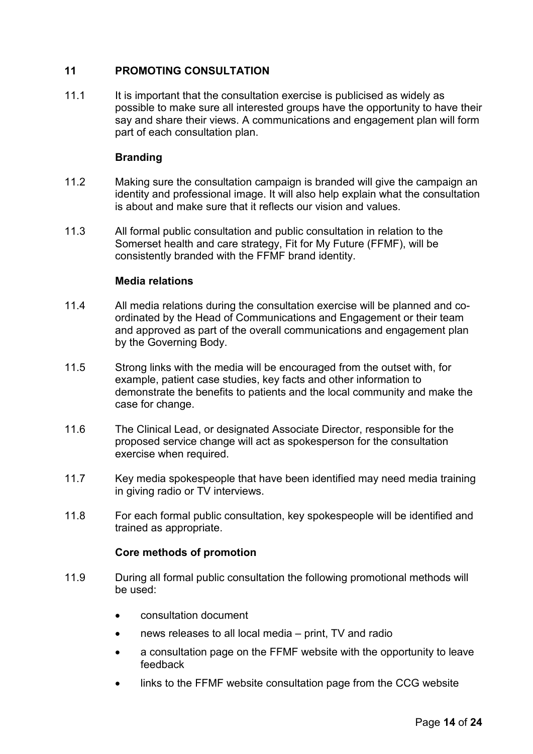# **11 PROMOTING CONSULTATION**

11.1 It is important that the consultation exercise is publicised as widely as possible to make sure all interested groups have the opportunity to have their say and share their views. A communications and engagement plan will form part of each consultation plan.

# **Branding**

- 11.2 Making sure the consultation campaign is branded will give the campaign an identity and professional image. It will also help explain what the consultation is about and make sure that it reflects our vision and values.
- 11.3 All formal public consultation and public consultation in relation to the Somerset health and care strategy, Fit for My Future (FFMF), will be consistently branded with the FFMF brand identity.

# **Media relations**

- 11.4 All media relations during the consultation exercise will be planned and coordinated by the Head of Communications and Engagement or their team and approved as part of the overall communications and engagement plan by the Governing Body.
- 11.5 Strong links with the media will be encouraged from the outset with, for example, patient case studies, key facts and other information to demonstrate the benefits to patients and the local community and make the case for change.
- 11.6 The Clinical Lead, or designated Associate Director, responsible for the proposed service change will act as spokesperson for the consultation exercise when required.
- 11.7 Key media spokespeople that have been identified may need media training in giving radio or TV interviews.
- 11.8 For each formal public consultation, key spokespeople will be identified and trained as appropriate.

## **Core methods of promotion**

- 11.9 During all formal public consultation the following promotional methods will be used:
	- consultation document
	- news releases to all local media print, TV and radio
	- a consultation page on the FFMF website with the opportunity to leave feedback
	- links to the FFMF website consultation page from the CCG website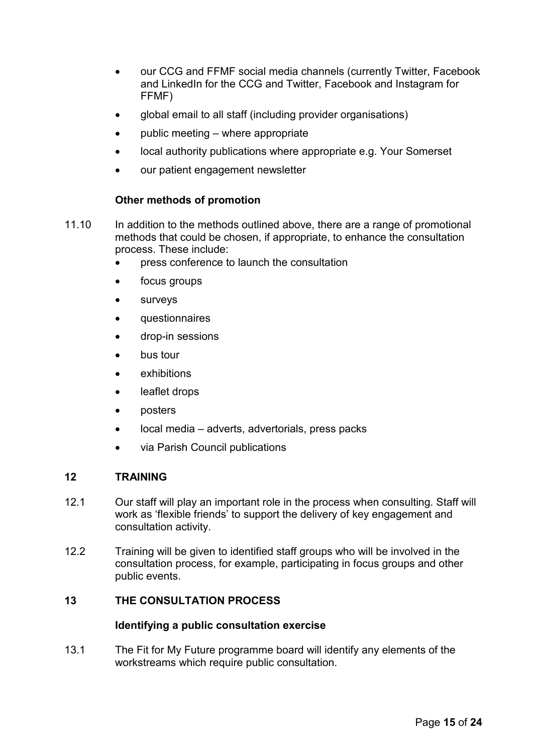- our CCG and FFMF social media channels (currently Twitter, Facebook and LinkedIn for the CCG and Twitter, Facebook and Instagram for FFMF)
- global email to all staff (including provider organisations)
- public meeting where appropriate
- local authority publications where appropriate e.g. Your Somerset
- our patient engagement newsletter

# **Other methods of promotion**

- 11.10 In addition to the methods outlined above, there are a range of promotional methods that could be chosen, if appropriate, to enhance the consultation process. These include:
	- press conference to launch the consultation
	- focus groups
	- **surveys**
	- questionnaires
	- drop-in sessions
	- bus tour
	- **exhibitions**
	- leaflet drops
	- posters
	- local media adverts, advertorials, press packs
	- via Parish Council publications

# **12 TRAINING**

- 12.1 Our staff will play an important role in the process when consulting. Staff will work as 'flexible friends' to support the delivery of key engagement and consultation activity.
- 12.2 Training will be given to identified staff groups who will be involved in the consultation process, for example, participating in focus groups and other public events.

## **13 THE CONSULTATION PROCESS**

#### **Identifying a public consultation exercise**

13.1 The Fit for My Future programme board will identify any elements of the workstreams which require public consultation.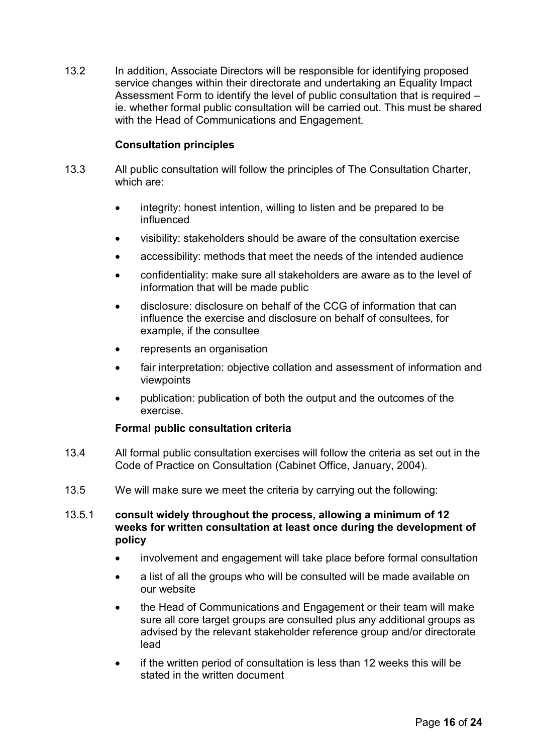13.2 In addition, Associate Directors will be responsible for identifying proposed service changes within their directorate and undertaking an Equality Impact Assessment Form to identify the level of public consultation that is required – ie. whether formal public consultation will be carried out. This must be shared with the Head of Communications and Engagement.

# **Consultation principles**

- 13.3 All public consultation will follow the principles of The Consultation Charter, which are:
	- integrity: honest intention, willing to listen and be prepared to be influenced
	- visibility: stakeholders should be aware of the consultation exercise
	- accessibility: methods that meet the needs of the intended audience
	- confidentiality: make sure all stakeholders are aware as to the level of information that will be made public
	- disclosure: disclosure on behalf of the CCG of information that can influence the exercise and disclosure on behalf of consultees, for example, if the consultee
	- represents an organisation
	- fair interpretation: objective collation and assessment of information and viewpoints
	- publication: publication of both the output and the outcomes of the exercise.

## **Formal public consultation criteria**

- 13.4 All formal public consultation exercises will follow the criteria as set out in the Code of Practice on Consultation (Cabinet Office, January, 2004).
- 13.5 We will make sure we meet the criteria by carrying out the following:

## 13.5.1 **consult widely throughout the process, allowing a minimum of 12 weeks for written consultation at least once during the development of policy**

- involvement and engagement will take place before formal consultation
- a list of all the groups who will be consulted will be made available on our website
- the Head of Communications and Engagement or their team will make sure all core target groups are consulted plus any additional groups as advised by the relevant stakeholder reference group and/or directorate lead
- if the written period of consultation is less than 12 weeks this will be stated in the written document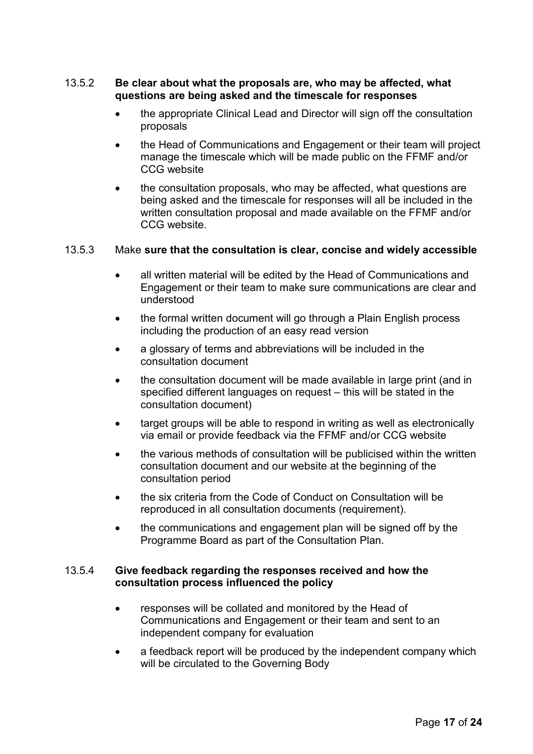## 13.5.2 **Be clear about what the proposals are, who may be affected, what questions are being asked and the timescale for responses**

- the appropriate Clinical Lead and Director will sign off the consultation proposals
- the Head of Communications and Engagement or their team will project manage the timescale which will be made public on the FFMF and/or CCG website
- the consultation proposals, who may be affected, what questions are being asked and the timescale for responses will all be included in the written consultation proposal and made available on the FFMF and/or CCG website.

## 13.5.3 Make **sure that the consultation is clear, concise and widely accessible**

- all written material will be edited by the Head of Communications and Engagement or their team to make sure communications are clear and understood
- the formal written document will go through a Plain English process including the production of an easy read version
- a glossary of terms and abbreviations will be included in the consultation document
- the consultation document will be made available in large print (and in specified different languages on request – this will be stated in the consultation document)
- target groups will be able to respond in writing as well as electronically via email or provide feedback via the FFMF and/or CCG website
- the various methods of consultation will be publicised within the written consultation document and our website at the beginning of the consultation period
- the six criteria from the Code of Conduct on Consultation will be reproduced in all consultation documents (requirement).
- the communications and engagement plan will be signed off by the Programme Board as part of the Consultation Plan.

## 13.5.4 **Give feedback regarding the responses received and how the consultation process influenced the policy**

- responses will be collated and monitored by the Head of Communications and Engagement or their team and sent to an independent company for evaluation
- a feedback report will be produced by the independent company which will be circulated to the Governing Body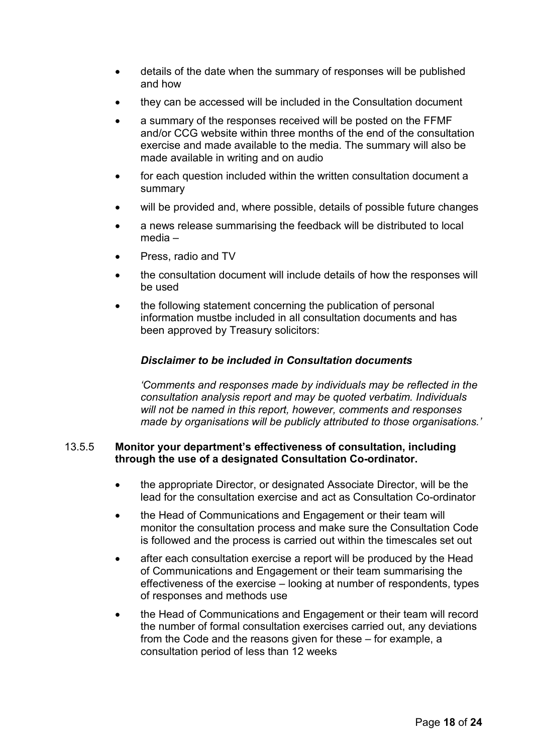- details of the date when the summary of responses will be published and how
- they can be accessed will be included in the Consultation document
- a summary of the responses received will be posted on the FFMF and/or CCG website within three months of the end of the consultation exercise and made available to the media. The summary will also be made available in writing and on audio
- for each question included within the written consultation document a summary
- will be provided and, where possible, details of possible future changes
- a news release summarising the feedback will be distributed to local media –
- Press, radio and TV
- the consultation document will include details of how the responses will be used
- the following statement concerning the publication of personal information mustbe included in all consultation documents and has been approved by Treasury solicitors:

## *Disclaimer to be included in Consultation documents*

 *'Comments and responses made by individuals may be reflected in the consultation analysis report and may be quoted verbatim. Individuals will not be named in this report, however, comments and responses made by organisations will be publicly attributed to those organisations.'* 

## 13.5.5 **Monitor your department's effectiveness of consultation, including through the use of a designated Consultation Co-ordinator.**

- the appropriate Director, or designated Associate Director, will be the lead for the consultation exercise and act as Consultation Co-ordinator
- the Head of Communications and Engagement or their team will monitor the consultation process and make sure the Consultation Code is followed and the process is carried out within the timescales set out
- after each consultation exercise a report will be produced by the Head of Communications and Engagement or their team summarising the effectiveness of the exercise – looking at number of respondents, types of responses and methods use
- the Head of Communications and Engagement or their team will record the number of formal consultation exercises carried out, any deviations from the Code and the reasons given for these – for example, a consultation period of less than 12 weeks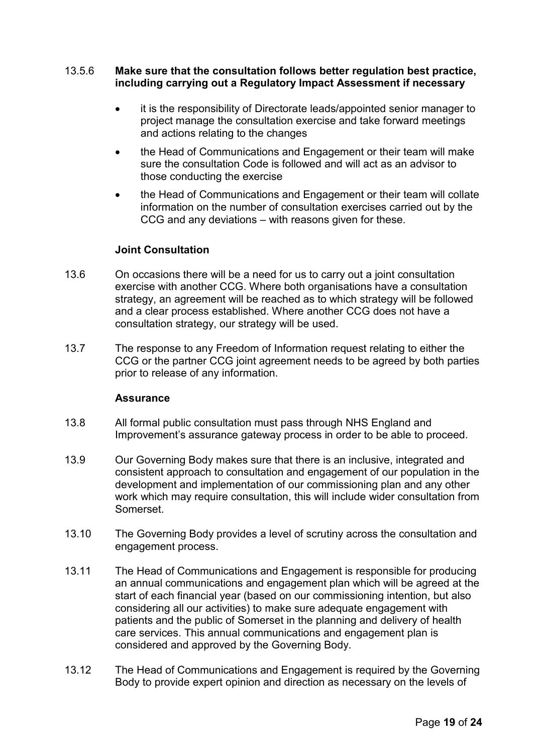## 13.5.6 **Make sure that the consultation follows better regulation best practice, including carrying out a Regulatory Impact Assessment if necessary**

- it is the responsibility of Directorate leads/appointed senior manager to project manage the consultation exercise and take forward meetings and actions relating to the changes
- the Head of Communications and Engagement or their team will make sure the consultation Code is followed and will act as an advisor to those conducting the exercise
- the Head of Communications and Engagement or their team will collate information on the number of consultation exercises carried out by the CCG and any deviations – with reasons given for these.

## **Joint Consultation**

- 13.6 On occasions there will be a need for us to carry out a joint consultation exercise with another CCG. Where both organisations have a consultation strategy, an agreement will be reached as to which strategy will be followed and a clear process established. Where another CCG does not have a consultation strategy, our strategy will be used.
- 13.7 The response to any Freedom of Information request relating to either the CCG or the partner CCG joint agreement needs to be agreed by both parties prior to release of any information.

#### **Assurance**

- 13.8 All formal public consultation must pass through NHS England and Improvement's assurance gateway process in order to be able to proceed.
- 13.9 Our Governing Body makes sure that there is an inclusive, integrated and consistent approach to consultation and engagement of our population in the development and implementation of our commissioning plan and any other work which may require consultation, this will include wider consultation from Somerset.
- 13.10 The Governing Body provides a level of scrutiny across the consultation and engagement process.
- 13.11 The Head of Communications and Engagement is responsible for producing an annual communications and engagement plan which will be agreed at the start of each financial year (based on our commissioning intention, but also considering all our activities) to make sure adequate engagement with patients and the public of Somerset in the planning and delivery of health care services. This annual communications and engagement plan is considered and approved by the Governing Body.
- 13.12 The Head of Communications and Engagement is required by the Governing Body to provide expert opinion and direction as necessary on the levels of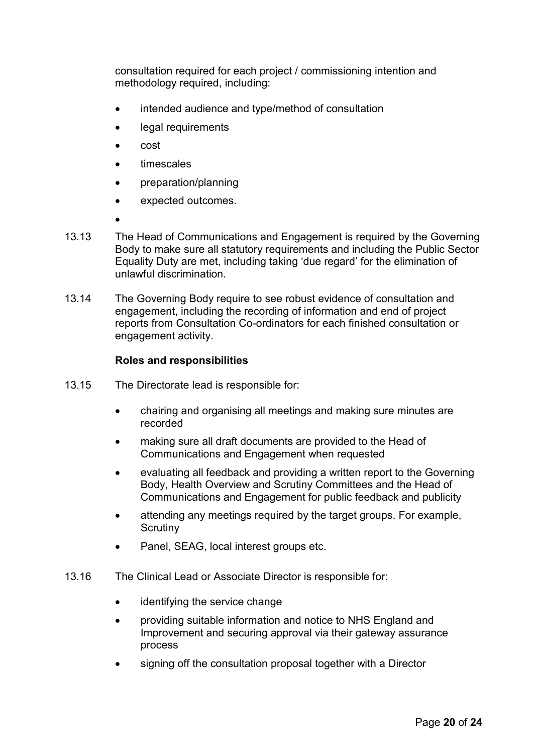consultation required for each project / commissioning intention and methodology required, including:

- intended audience and type/method of consultation
- legal requirements
- cost
- timescales
- preparation/planning
- expected outcomes.
- •
- 13.13 The Head of Communications and Engagement is required by the Governing Body to make sure all statutory requirements and including the Public Sector Equality Duty are met, including taking 'due regard' for the elimination of unlawful discrimination.
- 13.14 The Governing Body require to see robust evidence of consultation and engagement, including the recording of information and end of project reports from Consultation Co-ordinators for each finished consultation or engagement activity.

## **Roles and responsibilities**

- 13.15 The Directorate lead is responsible for:
	- chairing and organising all meetings and making sure minutes are recorded
	- making sure all draft documents are provided to the Head of Communications and Engagement when requested
	- evaluating all feedback and providing a written report to the Governing Body, Health Overview and Scrutiny Committees and the Head of Communications and Engagement for public feedback and publicity
	- attending any meetings required by the target groups. For example, **Scrutiny**
	- Panel, SEAG, local interest groups etc.
- 13.16 The Clinical Lead or Associate Director is responsible for:
	- identifying the service change
	- providing suitable information and notice to NHS England and Improvement and securing approval via their gateway assurance process
	- signing off the consultation proposal together with a Director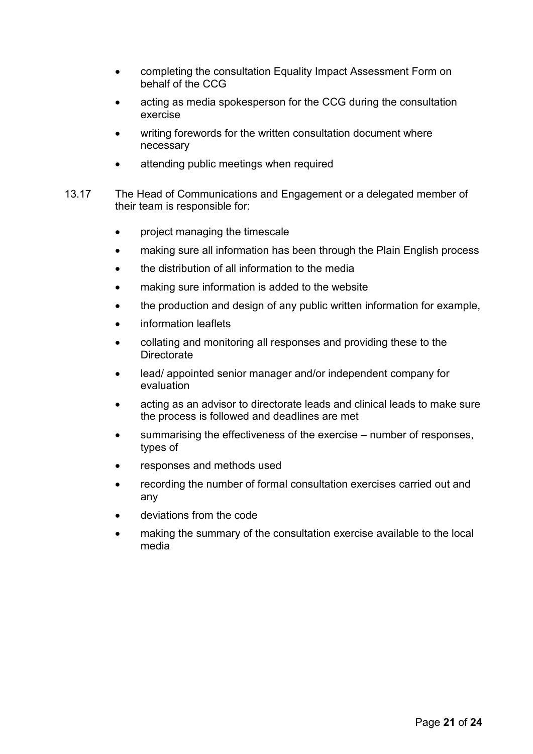- completing the consultation Equality Impact Assessment Form on behalf of the CCG
- acting as media spokesperson for the CCG during the consultation exercise
- writing forewords for the written consultation document where necessary
- attending public meetings when required
- 13.17 The Head of Communications and Engagement or a delegated member of their team is responsible for:
	- project managing the timescale
	- making sure all information has been through the Plain English process
	- the distribution of all information to the media
	- making sure information is added to the website
	- the production and design of any public written information for example,
	- information leaflets
	- collating and monitoring all responses and providing these to the **Directorate**
	- lead/ appointed senior manager and/or independent company for evaluation
	- acting as an advisor to directorate leads and clinical leads to make sure the process is followed and deadlines are met
	- summarising the effectiveness of the exercise number of responses, types of
	- responses and methods used
	- recording the number of formal consultation exercises carried out and any
	- deviations from the code
	- making the summary of the consultation exercise available to the local media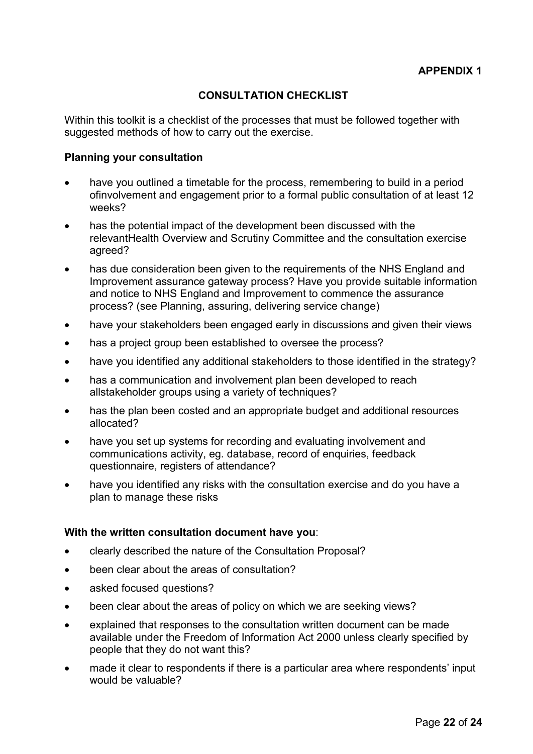# **CONSULTATION CHECKLIST**

Within this toolkit is a checklist of the processes that must be followed together with suggested methods of how to carry out the exercise.

## **Planning your consultation**

- have you outlined a timetable for the process, remembering to build in a period ofinvolvement and engagement prior to a formal public consultation of at least 12 weeks?
- has the potential impact of the development been discussed with the relevantHealth Overview and Scrutiny Committee and the consultation exercise agreed?
- has due consideration been given to the requirements of the NHS England and Improvement assurance gateway process? Have you provide suitable information and notice to NHS England and Improvement to commence the assurance process? (see Planning, assuring, delivering service change)
- have your stakeholders been engaged early in discussions and given their views
- has a project group been established to oversee the process?
- have you identified any additional stakeholders to those identified in the strategy?
- has a communication and involvement plan been developed to reach allstakeholder groups using a variety of techniques?
- has the plan been costed and an appropriate budget and additional resources allocated?
- have you set up systems for recording and evaluating involvement and communications activity, eg. database, record of enquiries, feedback questionnaire, registers of attendance?
- have you identified any risks with the consultation exercise and do you have a plan to manage these risks

## **With the written consultation document have you**:

- clearly described the nature of the Consultation Proposal?
- been clear about the areas of consultation?
- asked focused questions?
- been clear about the areas of policy on which we are seeking views?
- explained that responses to the consultation written document can be made available under the Freedom of Information Act 2000 unless clearly specified by people that they do not want this?
- made it clear to respondents if there is a particular area where respondents' input would be valuable?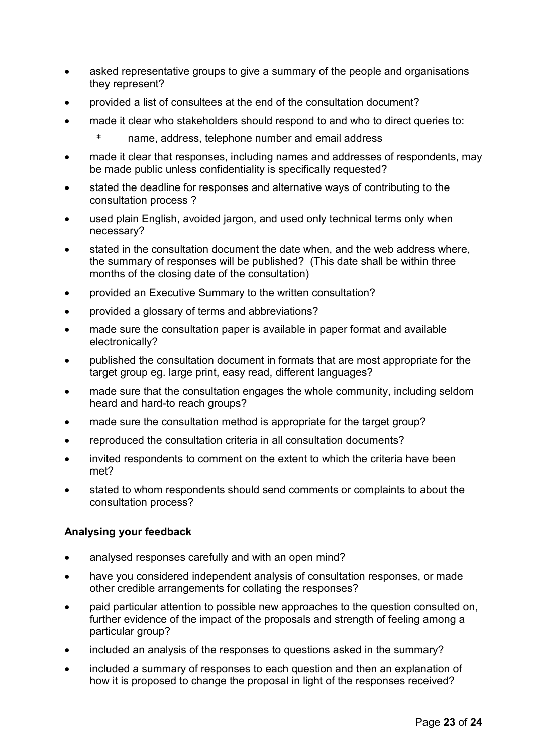- asked representative groups to give a summary of the people and organisations they represent?
- provided a list of consultees at the end of the consultation document?
- made it clear who stakeholders should respond to and who to direct queries to:
	- \* name, address, telephone number and email address
- made it clear that responses, including names and addresses of respondents, may be made public unless confidentiality is specifically requested?
- stated the deadline for responses and alternative ways of contributing to the consultation process ?
- used plain English, avoided jargon, and used only technical terms only when necessary?
- stated in the consultation document the date when, and the web address where, the summary of responses will be published? (This date shall be within three months of the closing date of the consultation)
- provided an Executive Summary to the written consultation?
- provided a glossary of terms and abbreviations?
- made sure the consultation paper is available in paper format and available electronically?
- published the consultation document in formats that are most appropriate for the target group eg. large print, easy read, different languages?
- made sure that the consultation engages the whole community, including seldom heard and hard-to reach groups?
- made sure the consultation method is appropriate for the target group?
- reproduced the consultation criteria in all consultation documents?
- invited respondents to comment on the extent to which the criteria have been met?
- stated to whom respondents should send comments or complaints to about the consultation process?

# **Analysing your feedback**

- analysed responses carefully and with an open mind?
- have you considered independent analysis of consultation responses, or made other credible arrangements for collating the responses?
- paid particular attention to possible new approaches to the question consulted on, further evidence of the impact of the proposals and strength of feeling among a particular group?
- included an analysis of the responses to questions asked in the summary?
- included a summary of responses to each question and then an explanation of how it is proposed to change the proposal in light of the responses received?